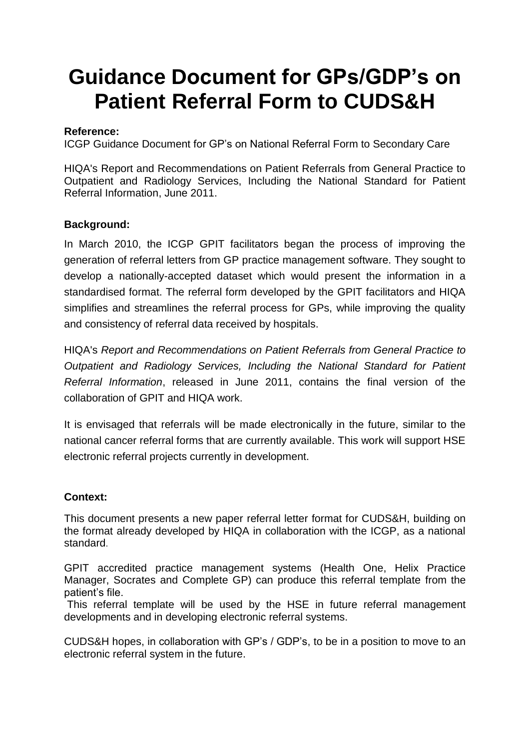# **Guidance Document for GPs/GDP's on Patient Referral Form to CUDS&H**

# **Reference:**

ICGP Guidance Document for GP's on National Referral Form to Secondary Care

HIQA's Report and Recommendations on Patient Referrals from General Practice to Outpatient and Radiology Services, Including the National Standard for Patient Referral Information, June 2011.

# **Background:**

In March 2010, the ICGP GPIT facilitators began the process of improving the generation of referral letters from GP practice management software. They sought to develop a nationally-accepted dataset which would present the information in a standardised format. The referral form developed by the GPIT facilitators and HIQA simplifies and streamlines the referral process for GPs, while improving the quality and consistency of referral data received by hospitals.

HIQA's *Report and Recommendations on Patient Referrals from General Practice to Outpatient and Radiology Services, Including the National Standard for Patient Referral Information*, released in June 2011, contains the final version of the collaboration of GPIT and HIQA work.

It is envisaged that referrals will be made electronically in the future, similar to the national cancer referral forms that are currently available. This work will support HSE electronic referral projects currently in development.

#### **Context:**

This document presents a new paper referral letter format for CUDS&H, building on the format already developed by HIQA in collaboration with the ICGP, as a national standard.

GPIT accredited practice management systems (Health One, Helix Practice Manager, Socrates and Complete GP) can produce this referral template from the patient's file.

This referral template will be used by the HSE in future referral management developments and in developing electronic referral systems.

CUDS&H hopes, in collaboration with GP's / GDP's, to be in a position to move to an electronic referral system in the future.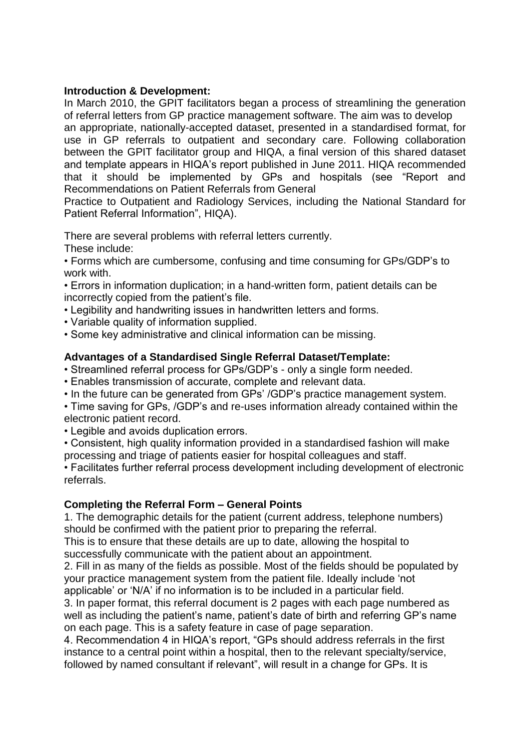#### **Introduction & Development:**

In March 2010, the GPIT facilitators began a process of streamlining the generation of referral letters from GP practice management software. The aim was to develop an appropriate, nationally-accepted dataset, presented in a standardised format, for use in GP referrals to outpatient and secondary care. Following collaboration between the GPIT facilitator group and HIQA, a final version of this shared dataset and template appears in HIQA's report published in June 2011. HIQA recommended that it should be implemented by GPs and hospitals (see "Report and Recommendations on Patient Referrals from General

Practice to Outpatient and Radiology Services, including the National Standard for Patient Referral Information", HIQA).

There are several problems with referral letters currently.

These include:

• Forms which are cumbersome, confusing and time consuming for GPs/GDP's to work with.

• Errors in information duplication; in a hand-written form, patient details can be incorrectly copied from the patient's file.

- Legibility and handwriting issues in handwritten letters and forms.
- Variable quality of information supplied.
- Some key administrative and clinical information can be missing.

# **Advantages of a Standardised Single Referral Dataset/Template:**

• Streamlined referral process for GPs/GDP's - only a single form needed.

- Enables transmission of accurate, complete and relevant data.
- In the future can be generated from GPs' /GDP's practice management system.

• Time saving for GPs, /GDP's and re-uses information already contained within the electronic patient record.

- Legible and avoids duplication errors.
- Consistent, high quality information provided in a standardised fashion will make processing and triage of patients easier for hospital colleagues and staff.

• Facilitates further referral process development including development of electronic referrals.

#### **Completing the Referral Form – General Points**

1. The demographic details for the patient (current address, telephone numbers) should be confirmed with the patient prior to preparing the referral.

This is to ensure that these details are up to date, allowing the hospital to successfully communicate with the patient about an appointment.

2. Fill in as many of the fields as possible. Most of the fields should be populated by your practice management system from the patient file. Ideally include 'not applicable' or 'N/A' if no information is to be included in a particular field.

3. In paper format, this referral document is 2 pages with each page numbered as well as including the patient's name, patient's date of birth and referring GP's name on each page. This is a safety feature in case of page separation.

4. Recommendation 4 in HIQA's report, "GPs should address referrals in the first instance to a central point within a hospital, then to the relevant specialty/service, followed by named consultant if relevant", will result in a change for GPs. It is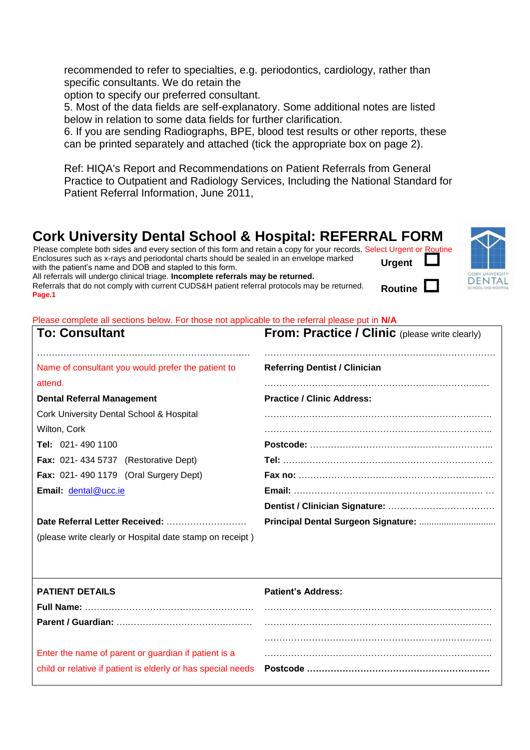recommended to refer to specialties, e.g. periodontics, cardiology, rather than specific consultants. We do retain the

option to specify our preferred consultant.

5. Most of the data fields are self-explanatory. Some additional notes are listed below in relation to some data fields for further clarification.

6. If you are sending Radiographs, BPE, blood test results or other reports, these can be printed separately and attached (tick the appropriate box on page 2).

Ref: HIQA's Report and Recommendations on Patient Referrals from General Practice to Outpatient and Radiology Services, Including the National Standard for Patient Referral Information, June 2011,

**Routine** 

**DENTAL** 

# **Cork University Dental School & Hospital: REFERRAL FORM**

**Urgent**  Please complete both sides and every section of this form and retain a copy for your records. Select Urgent or Routine Enclosures such as x-rays and periodontal charts should be sealed in an envelope marked with the patient's name and DOB and stapled to this form.

All referrals will undergo clinical triage. **Incomplete referrals may be returned.** Referrals that do not comply with current CUDS&H patient referral protocols may be returned. **Page.1**



| <b>To: Consultant</b>                                         | <b>From: Practice / Clinic</b> (please write clearly) |  |  |
|---------------------------------------------------------------|-------------------------------------------------------|--|--|
| Name of consultant you would prefer the patient to<br>attend. | <b>Referring Dentist / Clinician</b>                  |  |  |
| <b>Dental Referral Management</b>                             | <b>Practice / Clinic Address:</b>                     |  |  |
| Cork University Dental School & Hospital                      |                                                       |  |  |
| Wilton, Cork                                                  |                                                       |  |  |
| Tel: 021-490 1100                                             |                                                       |  |  |
| <b>Fax: 021-434 5737 (Restorative Dept)</b>                   |                                                       |  |  |
| <b>Fax: 021-490 1179 (Oral Surgery Dept)</b>                  |                                                       |  |  |
| Email: dental@ucc.ie                                          |                                                       |  |  |
|                                                               |                                                       |  |  |
| Date Referral Letter Received:                                |                                                       |  |  |
| (please write clearly or Hospital date stamp on receipt)      |                                                       |  |  |
|                                                               |                                                       |  |  |
| <b>PATIENT DETAILS</b>                                        | <b>Patient's Address:</b>                             |  |  |
|                                                               |                                                       |  |  |
|                                                               |                                                       |  |  |
|                                                               |                                                       |  |  |
| Enter the name of parent or guardian if patient is a          |                                                       |  |  |
| child or relative if patient is elderly or has special needs  |                                                       |  |  |
|                                                               |                                                       |  |  |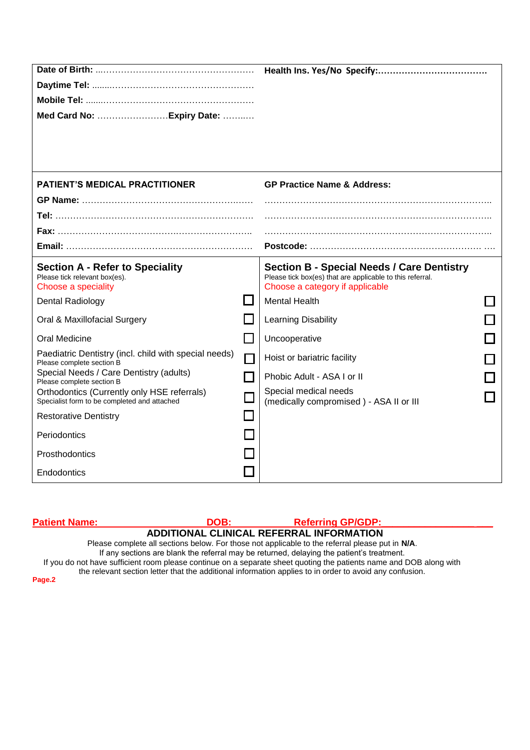| Med Card No:  Expiry Date:                                                                                                                                                                                                                                                                                                 |                                  |                                                                                                                                                                           |  |
|----------------------------------------------------------------------------------------------------------------------------------------------------------------------------------------------------------------------------------------------------------------------------------------------------------------------------|----------------------------------|---------------------------------------------------------------------------------------------------------------------------------------------------------------------------|--|
| <b>PATIENT'S MEDICAL PRACTITIONER</b>                                                                                                                                                                                                                                                                                      |                                  | <b>GP Practice Name &amp; Address:</b>                                                                                                                                    |  |
|                                                                                                                                                                                                                                                                                                                            |                                  |                                                                                                                                                                           |  |
| <b>Section A - Refer to Speciality</b><br>Please tick relevant box(es).<br>Choose a speciality                                                                                                                                                                                                                             |                                  | <b>Section B - Special Needs / Care Dentistry</b><br>Please tick box(es) that are applicable to this referral.<br>Choose a category if applicable<br><b>Mental Health</b> |  |
| <b>Dental Radiology</b><br>Oral & Maxillofacial Surgery                                                                                                                                                                                                                                                                    |                                  | Learning Disability                                                                                                                                                       |  |
| Oral Medicine<br>Paediatric Dentistry (incl. child with special needs)<br>Please complete section B<br>Special Needs / Care Dentistry (adults)<br>Please complete section B<br>Orthodontics (Currently only HSE referrals)<br>Specialist form to be completed and attached<br><b>Restorative Dentistry</b><br>Periodontics | П<br>$\mathcal{L}_{\mathcal{A}}$ | Uncooperative<br>Hoist or bariatric facility<br>Phobic Adult - ASA I or II<br>Special medical needs<br>(medically compromised) - ASA II or III                            |  |
| Prosthodontics<br>Endodontics                                                                                                                                                                                                                                                                                              |                                  |                                                                                                                                                                           |  |

| <b>Patient Name:</b>                                                                            | DOB: | <b>Referring GP/GDP:</b>                                                                                                                                                                                                       |  |  |
|-------------------------------------------------------------------------------------------------|------|--------------------------------------------------------------------------------------------------------------------------------------------------------------------------------------------------------------------------------|--|--|
| ADDITIONAL CLINICAL REFERRAL INFORMATION                                                        |      |                                                                                                                                                                                                                                |  |  |
| Please complete all sections below. For those not applicable to the referral please put in N/A. |      |                                                                                                                                                                                                                                |  |  |
|                                                                                                 |      | If any sections are blank the referral may be returned, delaying the patient's treatment.                                                                                                                                      |  |  |
|                                                                                                 |      | If you do not have sufficient room please continue on a separate sheet quoting the patients name and DOB along with<br>the relevant section letter that the additional information applies to in order to avoid any confusion. |  |  |
| Page.2                                                                                          |      |                                                                                                                                                                                                                                |  |  |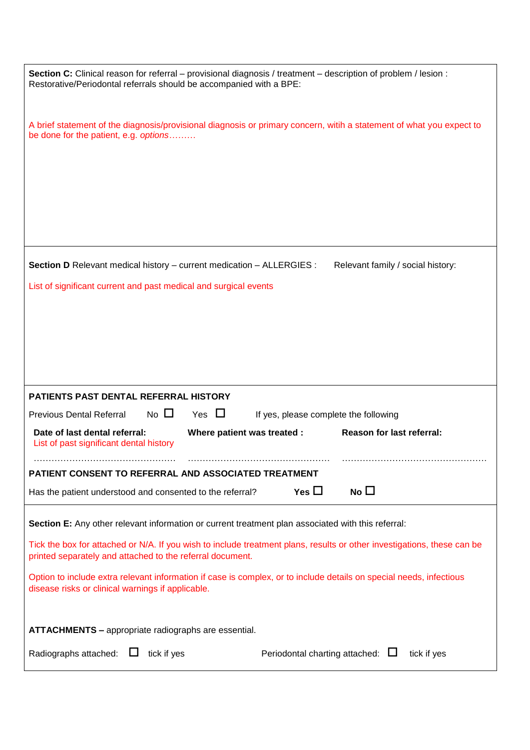| Section C: Clinical reason for referral – provisional diagnosis / treatment – description of problem / lesion :<br>Restorative/Periodontal referrals should be accompanied with a BPE: |  |  |  |  |
|----------------------------------------------------------------------------------------------------------------------------------------------------------------------------------------|--|--|--|--|
| A brief statement of the diagnosis/provisional diagnosis or primary concern, witih a statement of what you expect to<br>be done for the patient, e.g. options                          |  |  |  |  |
|                                                                                                                                                                                        |  |  |  |  |
|                                                                                                                                                                                        |  |  |  |  |
|                                                                                                                                                                                        |  |  |  |  |
| Section D Relevant medical history - current medication - ALLERGIES :<br>Relevant family / social history:                                                                             |  |  |  |  |
| List of significant current and past medical and surgical events                                                                                                                       |  |  |  |  |
|                                                                                                                                                                                        |  |  |  |  |
|                                                                                                                                                                                        |  |  |  |  |
|                                                                                                                                                                                        |  |  |  |  |
|                                                                                                                                                                                        |  |  |  |  |
|                                                                                                                                                                                        |  |  |  |  |
|                                                                                                                                                                                        |  |  |  |  |
| <b>PATIENTS PAST DENTAL REFERRAL HISTORY</b>                                                                                                                                           |  |  |  |  |
| $No$ $\square$<br>Yes $\Box$<br><b>Previous Dental Referral</b><br>If yes, please complete the following                                                                               |  |  |  |  |
| Date of last dental referral:<br>Reason for last referral:<br>Where patient was treated :<br>List of past significant dental history                                                   |  |  |  |  |
| PATIENT CONSENT TO REFERRAL AND ASSOCIATED TREATMENT                                                                                                                                   |  |  |  |  |
| No $\square$<br>Yes $\square$<br>Has the patient understood and consented to the referral?                                                                                             |  |  |  |  |
| Section E: Any other relevant information or current treatment plan associated with this referral:                                                                                     |  |  |  |  |
| Tick the box for attached or N/A. If you wish to include treatment plans, results or other investigations, these can be<br>printed separately and attached to the referral document.   |  |  |  |  |
| Option to include extra relevant information if case is complex, or to include details on special needs, infectious<br>disease risks or clinical warnings if applicable.               |  |  |  |  |
| <b>ATTACHMENTS - appropriate radiographs are essential.</b>                                                                                                                            |  |  |  |  |